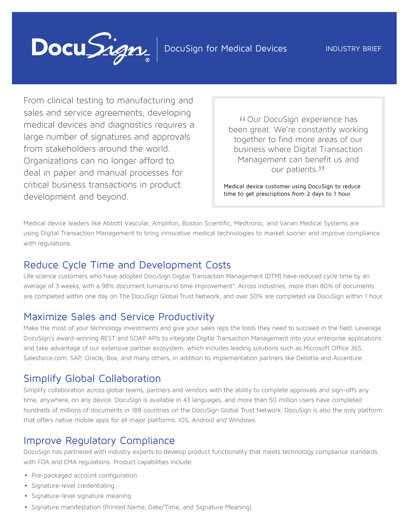

From clinical testing to manufacturing and sales and service agreements, developing medical devices and diagnostics requires a large number of signatures and approvals from stakeholders around the world. Organizations can no longer afford to deal in paper and manual processes for critical business transactions in product development and beyond.

" been great. We're constantly working Our DocuSign experience has together to find more areas of our business where Digital Transaction Management can benefit us and our patients."

Medical device customer using DocuSign to reduce time to get prescriptions from 2 days to 1 hour

Medical device leaders like Abbott Vascular, Amplifon, Boston Scientific, Medtronic, and Varian Medical Systems are using Digital Transaction Management to bring innovative medical technologies to market sooner and improve compliance with regulations.

#### Reduce Cycle Time and Development Costs

Life science customers who have adopted DocuSign Digital Transaction Management (DTM) have reduced cycle time by an average of 3 weeks, with a 98% document turnaround time improvement\*. Across industries, more than 80% of documents are completed within one day on The DocuSign Global Trust Network, and over 50% are completed via DocuSign within 1 hour.

## Maximize Sales and Service Productivity

Make the most of your technology investments and give your sales reps the tools they need to succeed in the field. Leverage DocuSign's award-winning REST and SOAP APIs to integrate Digital Transaction Management into your enterprise applications and take advantage of our extensive partner ecosystem, which includes leading solutions such as Microsoft Office 365, Salesforce.com, SAP, Oracle, Box, and many others, in addition to implementation partners like Deloitte and Accenture.

## Simplify Global Collaboration

Simplify collaboration across global teams, partners and vendors with the ability to complete approvals and sign-offs any time, anywhere, on any device. DocuSign is available in 43 languages, and more than 50 million users have completed hundreds of millions of documents in 188 countries on the DocuSign Global Trust Network. DocuSign is also the only platform that offers native mobile apps for all major platforms: iOS, Android and Windows.

## Improve Regulatory Compliance

DocuSign has partnered with industry experts to develop product functionality that meets technology compliance standards with FDA and EMA regulations. Product capabilities include:

- Pre-packaged account configuration
- Signature-level credentialing
- Signature-level signature meaning
- Signature manifestation (Printed Name, Date/Time, and Signature Meaning)